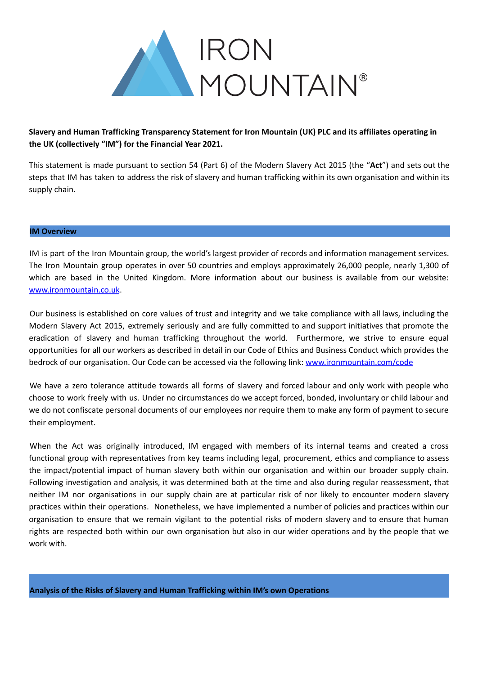

## **Slavery and Human Trafficking Transparency Statement for Iron Mountain (UK) PLC and its affiliates operating in the UK (collectively "IM") for the Financial Year 2021.**

This statement is made pursuant to section 54 (Part 6) of the Modern Slavery Act 2015 (the "**Act**") and sets out the steps that IM has taken to address the risk of slavery and human trafficking within its own organisation and within its supply chain.

## **IM Overview**

IM is part of the Iron Mountain group, the world's largest provider of records and information management services. The Iron Mountain group operates in over 50 countries and employs approximately 26,000 people, nearly 1,300 of which are based in the United Kingdom. More information about our business is available from our website: www.ironmountain.co.uk.

Our business is established on core values of trust and integrity and we take compliance with all laws, including the Modern Slavery Act 2015, extremely seriously and are fully committed to and support initiatives that promote the eradication of slavery and human trafficking throughout the world. Furthermore, we strive to ensure equal opportunities for all our workers as described in detail in our Code of Ethics and Business Conduct which provides the bedrock of our organisation. Our Code can be accessed via the following link: [www.ironmountain.com/code](http://www.ironmountain.com/code)

We have a zero tolerance attitude towards all forms of slavery and forced labour and only work with people who choose to work freely with us. Under no circumstances do we accept forced, bonded, involuntary or child labour and we do not confiscate personal documents of our employees nor require them to make any form of payment to secure their employment.

When the Act was originally introduced, IM engaged with members of its internal teams and created a cross functional group with representatives from key teams including legal, procurement, ethics and compliance to assess the impact/potential impact of human slavery both within our organisation and within our broader supply chain. Following investigation and analysis, it was determined both at the time and also during regular reassessment, that neither IM nor organisations in our supply chain are at particular risk of nor likely to encounter modern slavery practices within their operations. Nonetheless, we have implemented a number of policies and practices within our organisation to ensure that we remain vigilant to the potential risks of modern slavery and to ensure that human rights are respected both within our own organisation but also in our wider operations and by the people that we work with.

**Analysis of the Risks of Slavery and Human Trafficking within IM's own Operations**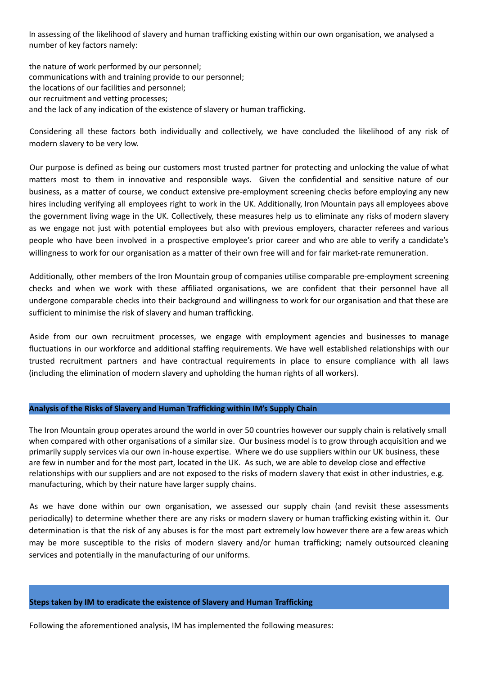In assessing of the likelihood of slavery and human trafficking existing within our own organisation, we analysed a number of key factors namely:

the nature of work performed by our personnel; communications with and training provide to our personnel; the locations of our facilities and personnel; our recruitment and vetting processes; and the lack of any indication of the existence of slavery or human trafficking.

Considering all these factors both individually and collectively, we have concluded the likelihood of any risk of modern slavery to be very low.

Our purpose is defined as being our customers most trusted partner for protecting and unlocking the value of what matters most to them in innovative and responsible ways. Given the confidential and sensitive nature of our business, as a matter of course, we conduct extensive pre-employment screening checks before employing any new hires including verifying all employees right to work in the UK. Additionally, Iron Mountain pays all employees above the government living wage in the UK. Collectively, these measures help us to eliminate any risks of modern slavery as we engage not just with potential employees but also with previous employers, character referees and various people who have been involved in a prospective employee's prior career and who are able to verify a candidate's willingness to work for our organisation as a matter of their own free will and for fair market-rate remuneration.

Additionally, other members of the Iron Mountain group of companies utilise comparable pre-employment screening checks and when we work with these affiliated organisations, we are confident that their personnel have all undergone comparable checks into their background and willingness to work for our organisation and that these are sufficient to minimise the risk of slavery and human trafficking.

Aside from our own recruitment processes, we engage with employment agencies and businesses to manage fluctuations in our workforce and additional staffing requirements. We have well established relationships with our trusted recruitment partners and have contractual requirements in place to ensure compliance with all laws (including the elimination of modern slavery and upholding the human rights of all workers).

## **Analysis of the Risks of Slavery and Human Trafficking within IM's Supply Chain**

The Iron Mountain group operates around the world in over 50 countries however our supply chain is relatively small when compared with other organisations of a similar size. Our business model is to grow through acquisition and we primarily supply services via our own in-house expertise. Where we do use suppliers within our UK business, these are few in number and for the most part, located in the UK. As such, we are able to develop close and effective relationships with our suppliers and are not exposed to the risks of modern slavery that exist in other industries, e.g. manufacturing, which by their nature have larger supply chains.

As we have done within our own organisation, we assessed our supply chain (and revisit these assessments periodically) to determine whether there are any risks or modern slavery or human trafficking existing within it. Our determination is that the risk of any abuses is for the most part extremely low however there are a few areas which may be more susceptible to the risks of modern slavery and/or human trafficking; namely outsourced cleaning services and potentially in the manufacturing of our uniforms.

## **Steps taken by IM to eradicate the existence of Slavery and Human Trafficking**

Following the aforementioned analysis, IM has implemented the following measures: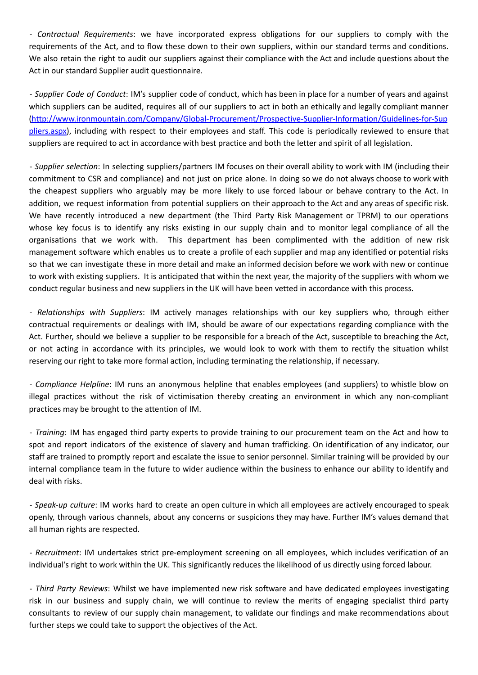- *Contractual Requirements*: we have incorporated express obligations for our suppliers to comply with the requirements of the Act, and to flow these down to their own suppliers, within our standard terms and conditions. We also retain the right to audit our suppliers against their compliance with the Act and include questions about the Act in our standard Supplier audit questionnaire.

- *Supplier Code of Conduct*: IM's supplier code of conduct, which has been in place for a number of years and against which suppliers can be audited, requires all of our suppliers to act in both an ethically and legally compliant manner [\(http://www.ironmountain.com/Company/Global-Procurement/Prospective-Supplier-Information/Guidelines-for-Sup](http://www.ironmountain.com/Company/Global-Procurement/Prospective-Supplier-Information/Guidelines-for-Suppliers.aspx) [pliers.aspx\)](http://www.ironmountain.com/Company/Global-Procurement/Prospective-Supplier-Information/Guidelines-for-Suppliers.aspx), including with respect to their employees and staff. This code is periodically reviewed to ensure that suppliers are required to act in accordance with best practice and both the letter and spirit of all legislation.

- *Supplier selection*: In selecting suppliers/partners IM focuses on their overall ability to work with IM (including their commitment to CSR and compliance) and not just on price alone. In doing so we do not always choose to work with the cheapest suppliers who arguably may be more likely to use forced labour or behave contrary to the Act. In addition, we request information from potential suppliers on their approach to the Act and any areas of specific risk. We have recently introduced a new department (the Third Party Risk Management or TPRM) to our operations whose key focus is to identify any risks existing in our supply chain and to monitor legal compliance of all the organisations that we work with. This department has been complimented with the addition of new risk management software which enables us to create a profile of each supplier and map any identified or potential risks so that we can investigate these in more detail and make an informed decision before we work with new or continue to work with existing suppliers. It is anticipated that within the next year, the majority of the suppliers with whom we conduct regular business and new suppliers in the UK will have been vetted in accordance with this process.

- *Relationships with Suppliers*: IM actively manages relationships with our key suppliers who, through either contractual requirements or dealings with IM, should be aware of our expectations regarding compliance with the Act. Further, should we believe a supplier to be responsible for a breach of the Act, susceptible to breaching the Act, or not acting in accordance with its principles, we would look to work with them to rectify the situation whilst reserving our right to take more formal action, including terminating the relationship, if necessary.

- *Compliance Helpline*: IM runs an anonymous helpline that enables employees (and suppliers) to whistle blow on illegal practices without the risk of victimisation thereby creating an environment in which any non-compliant practices may be brought to the attention of IM.

- *Training*: IM has engaged third party experts to provide training to our procurement team on the Act and how to spot and report indicators of the existence of slavery and human trafficking. On identification of any indicator, our staff are trained to promptly report and escalate the issue to senior personnel. Similar training will be provided by our internal compliance team in the future to wider audience within the business to enhance our ability to identify and deal with risks.

- *Speak-up culture*: IM works hard to create an open culture in which all employees are actively encouraged to speak openly, through various channels, about any concerns or suspicions they may have. Further IM's values demand that all human rights are respected.

- *Recruitment*: IM undertakes strict pre-employment screening on all employees, which includes verification of an individual's right to work within the UK. This significantly reduces the likelihood of us directly using forced labour.

- *Third Party Reviews*: Whilst we have implemented new risk software and have dedicated employees investigating risk in our business and supply chain, we will continue to review the merits of engaging specialist third party consultants to review of our supply chain management, to validate our findings and make recommendations about further steps we could take to support the objectives of the Act.